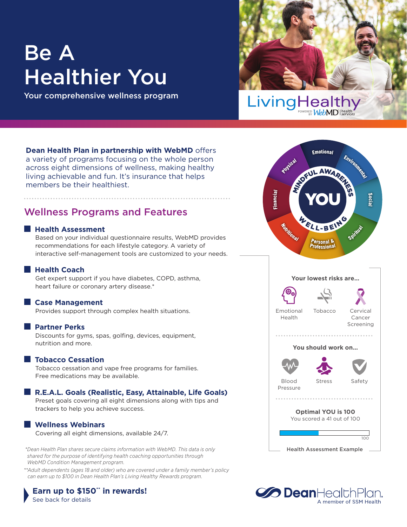# Be A Healthier You

Your comprehensive wellness program



**Dean Health Plan in partnership with WebMD** offers a variety of programs focusing on the whole person across eight dimensions of wellness, making healthy living achievable and fun. It's insurance that helps members be their healthiest.

## Wellness Programs and Features

#### **Health Assessment**

 Based on your individual questionnaire results, WebMD provides recommendations for each lifestyle category. A variety of interactive self-management tools are customized to your needs.

**Health Coach** 

 Get expert support if you have diabetes, COPD, asthma, heart failure or coronary artery disease.\*

#### **Case Management**

Provides support through complex health situations.

#### **Partner Perks**

 Discounts for gyms, spas, golfing, devices, equipment, nutrition and more.

#### **Tobacco Cessation**

 Tobacco cessation and vape free programs for families. Free medications may be available.

#### **R.E.A.L. Goals (Realistic, Easy, Attainable, Life Goals)**

 Preset goals covering all eight dimensions along with tips and trackers to help you achieve success.

#### **Wellness Webinars**

Covering all eight dimensions, available 24/7.

\*Dean Health Plan shares secure claims information with WebMD. This data is only **Health Assessment Example** *shared for the purpose of identifying health coaching opportunities through WebMD Condition Management program.* 

*\*\*Adult dependents (ages 18 and older) who are covered under a family member's policy can earn up to \$100 in Dean Health Plan's Living Healthy Rewards program.*

#### **Earn up to \$150" in rewards!** See back for details